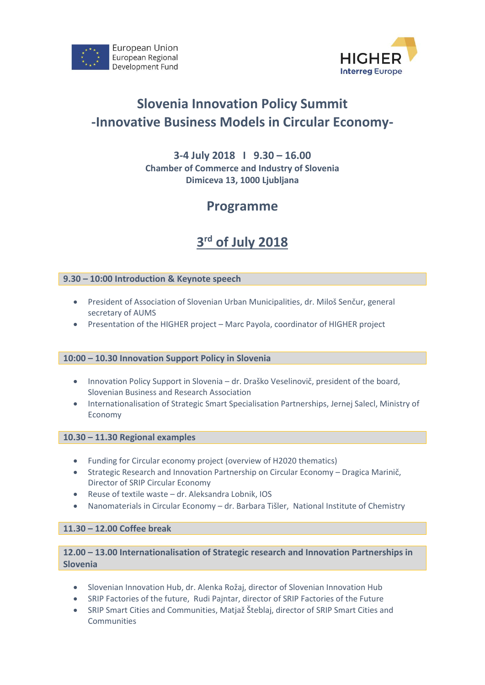



# **Slovenia Innovation Policy Summit -Innovative Business Models in Circular Economy-**

#### **3-4 July 2018 I 9.30 – 16.00 Chamber of Commerce and Industry of Slovenia Dimiceva 13, 1000 Ljubljana**

### **Programme**

# **3 rd of July 2018**

#### **9.30 – 10:00 Introduction & Keynote speech**

- President of Association of Slovenian Urban Municipalities, dr. Miloš Senčur, general secretary of AUMS
- Presentation of the HIGHER project Marc Payola, coordinator of HIGHER project

#### **10:00 – 10.30 Innovation Support Policy in Slovenia**

- Innovation Policy Support in Slovenia dr. Draško Veselinovič, president of the board, Slovenian Business and Research Association
- Internationalisation of Strategic Smart Specialisation Partnerships, Jernej Salecl, Ministry of Economy

#### **10.30 – 11.30 Regional examples**

- Funding for Circular economy project (overview of H2020 thematics)
- Strategic Research and Innovation Partnership on Circular Economy Dragica Marinič, Director of SRIP Circular Economy
- Reuse of textile waste dr. Aleksandra Lobnik, IOS
- Nanomaterials in Circular Economy dr. Barbara Tišler, National Institute of Chemistry

#### **11.30 – 12.00 Coffee break**

#### **12.00 – 13.00 Internationalisation of Strategic research and Innovation Partnerships in Slovenia**

- Slovenian Innovation Hub, dr. Alenka Rožaj, director of Slovenian Innovation Hub
- SRIP Factories of the future, Rudi Pajntar, director of SRIP Factories of the Future
- SRIP Smart Cities and Communities, Matjaž Šteblaj, director of SRIP Smart Cities and Communities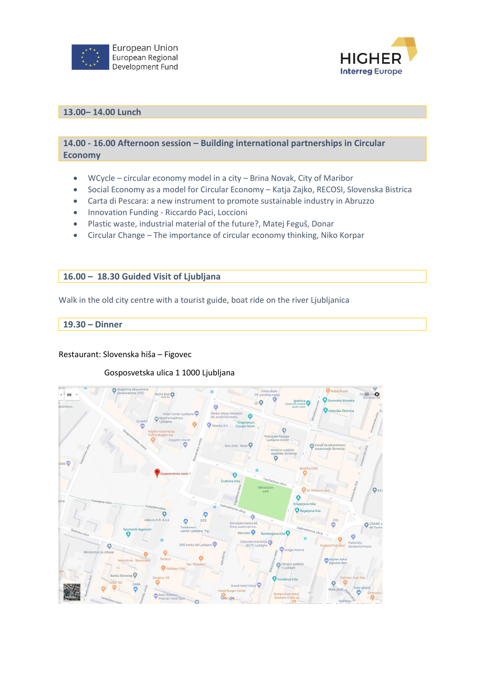



#### **13.00– 14.00 Lunch**

**14.00 - 16.00 Afternoon session – Building international partnerships in Circular Economy**

- WCycle circular economy model in a city Brina Novak, City of Maribor
- Social Economy as a model for Circular Economy Katja Zajko, RECOSI, Slovenska Bistrica
- Carta di Pescara: a new instrument to promote sustainable industry in Abruzzo
- Innovation Funding Riccardo Paci, Loccioni
- Plastic waste, industrial material of the future?, Matej Feguš, Donar
- Circular Change The importance of circular economy thinking, Niko Korpar

#### **16.00 – 18.30 Guided Visit of Ljubljana**

Walk in the old city centre with a tourist guide, boat ride on the river Ljubljanica

#### **19.30 – Dinner**

Restaurant: Slovenska hiša – Figovec

#### Gosposvetska ulica 1 1000 Ljubljana

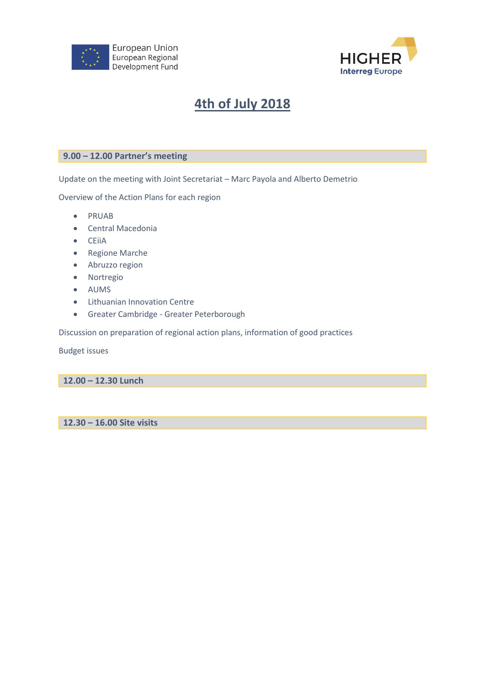



## **4th of July 2018**

#### **9.00 – 12.00 Partner's meeting**

Update on the meeting with Joint Secretariat – Marc Payola and Alberto Demetrio

Overview of the Action Plans for each region

- PRUAB
- Central Macedonia
- CEiiA
- Regione Marche
- Abruzzo region
- Nortregio
- AUMS
- Lithuanian Innovation Centre
- Greater Cambridge Greater Peterborough

Discussion on preparation of regional action plans, information of good practices

Budget issues

**12.00 – 12.30 Lunch**

**12.30 – 16.00 Site visits**